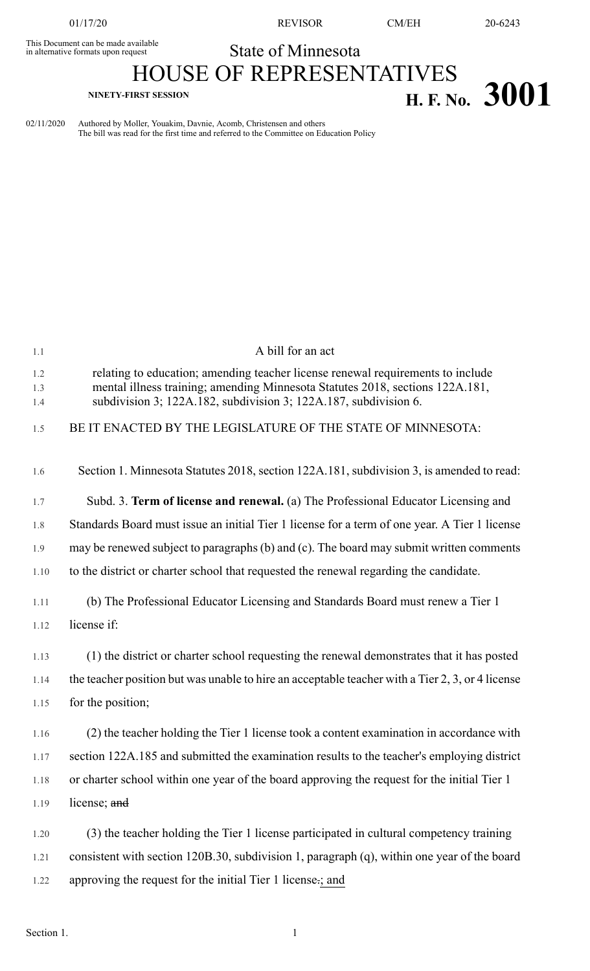This Document can be made available<br>in alternative formats upon request

01/17/20 REVISOR CM/EH 20-6243

## State of Minnesota

# HOUSE OF REPRESENTATIVES **NINETY-FIRST SESSION H. F. No.**  $3001$

02/11/2020 Authored by Moller, Youakim, Davnie, Acomb, Christensen and others The bill was read for the first time and referred to the Committee on Education Policy

| 1.1  | A bill for an act                                                                                |
|------|--------------------------------------------------------------------------------------------------|
| 1.2  | relating to education; amending teacher license renewal requirements to include                  |
| 1.3  | mental illness training; amending Minnesota Statutes 2018, sections 122A.181,                    |
| 1.4  | subdivision 3; 122A.182, subdivision 3; 122A.187, subdivision 6.                                 |
| 1.5  | BE IT ENACTED BY THE LEGISLATURE OF THE STATE OF MINNESOTA:                                      |
| 1.6  | Section 1. Minnesota Statutes 2018, section 122A.181, subdivision 3, is amended to read:         |
| 1.7  | Subd. 3. Term of license and renewal. (a) The Professional Educator Licensing and                |
| 1.8  | Standards Board must issue an initial Tier 1 license for a term of one year. A Tier 1 license    |
| 1.9  | may be renewed subject to paragraphs (b) and (c). The board may submit written comments          |
| 1.10 | to the district or charter school that requested the renewal regarding the candidate.            |
| 1.11 | (b) The Professional Educator Licensing and Standards Board must renew a Tier 1                  |
| 1.12 | license if:                                                                                      |
| 1.13 | (1) the district or charter school requesting the renewal demonstrates that it has posted        |
| 1.14 | the teacher position but was unable to hire an acceptable teacher with a Tier 2, 3, or 4 license |
| 1.15 | for the position;                                                                                |
| 1.16 | (2) the teacher holding the Tier 1 license took a content examination in accordance with         |
| 1.17 | section 122A.185 and submitted the examination results to the teacher's employing district       |
| 1.18 | or charter school within one year of the board approving the request for the initial Tier 1      |
| 1.19 | license; and                                                                                     |
| 1.20 | (3) the teacher holding the Tier 1 license participated in cultural competency training          |
| 1.21 | consistent with section 120B.30, subdivision 1, paragraph (q), within one year of the board      |
| 1.22 | approving the request for the initial Tier 1 license :; and                                      |
|      |                                                                                                  |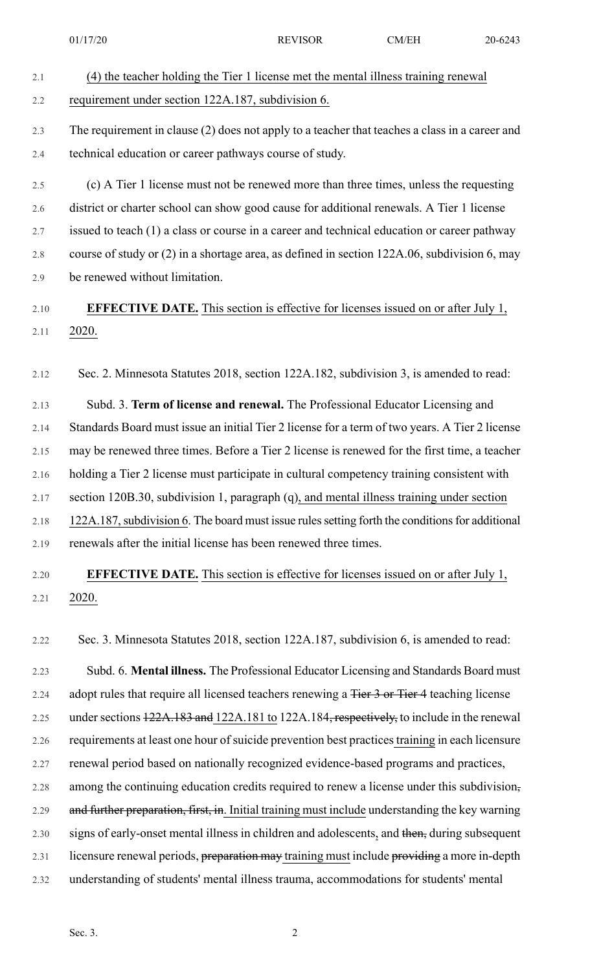# 2.1 (4) the teacher holding the Tier 1 license met the mental illness training renewal

#### 2.2 requirement under section 122A.187, subdivision 6.

- 2.3 The requirement in clause (2) does not apply to a teacher that teaches a class in a career and 2.4 technical education or career pathways course of study.
- 2.5 (c) A Tier 1 license must not be renewed more than three times, unless the requesting 2.6 district or charter school can show good cause for additional renewals. A Tier 1 license 2.7 issued to teach (1) a class or course in a career and technical education or career pathway 2.8 course of study or (2) in a shortage area, as defined in section 122A.06, subdivision 6, may 2.9 be renewed without limitation.

### 2.10 **EFFECTIVE DATE.** This section is effective for licenses issued on or after July 1, 2.11 2020.

2.12 Sec. 2. Minnesota Statutes 2018, section 122A.182, subdivision 3, is amended to read:

2.13 Subd. 3. **Term of license and renewal.** The Professional Educator Licensing and 2.14 Standards Board must issue an initial Tier 2 license for a term of two years. A Tier 2 license 2.15 may be renewed three times. Before a Tier 2 license is renewed for the first time, a teacher 2.16 holding a Tier 2 license must participate in cultural competency training consistent with 2.17 section 120B.30, subdivision 1, paragraph (q), and mental illness training under section 2.18 122A.187, subdivision 6. The board must issue rules setting forth the conditions for additional 2.19 renewals after the initial license has been renewed three times.

## 2.20 **EFFECTIVE DATE.** This section is effective for licenses issued on or after July 1, 2.21 2020.

2.22 Sec. 3. Minnesota Statutes 2018, section 122A.187, subdivision 6, is amended to read:

2.23 Subd. 6. **Mental illness.** The Professional Educator Licensing and Standards Board must 2.24 adopt rules that require all licensed teachers renewing a <del>Tier 3 or Tier 4</del> teaching license 2.25 under sections  $122A.183$  and 122A.181 to 122A.184, respectively, to include in the renewal 2.26 requirements at least one hour of suicide prevention best practices training in each licensure 2.27 renewal period based on nationally recognized evidence-based programs and practices,

- 2.28 among the continuing education credits required to renew a license under this subdivision,
- 2.29 and further preparation, first, in. Initial training must include understanding the key warning
- 2.30 signs of early-onset mental illness in children and adolescents, and then, during subsequent
- 2.31 licensure renewal periods, preparation may training must include providing a more in-depth
- 2.32 understanding of students' mental illness trauma, accommodations for students' mental